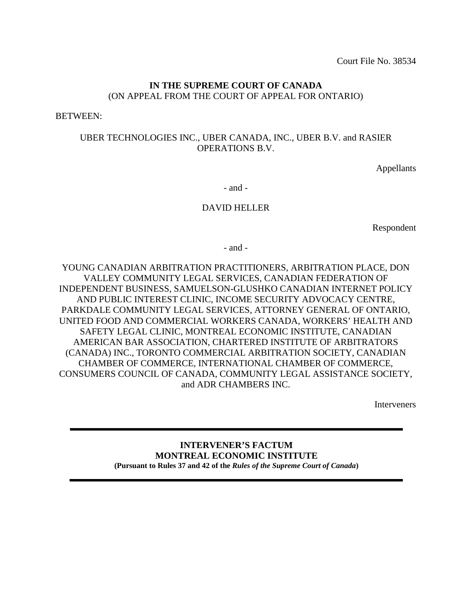Court File No. 38534

# **IN THE SUPREME COURT OF CANADA** (ON APPEAL FROM THE COURT OF APPEAL FOR ONTARIO)

BETWEEN:

## UBER TECHNOLOGIES INC., UBER CANADA, INC., UBER B.V. and RASIER OPERATIONS B.V.

Appellants

- and -

## DAVID HELLER

Respondent

- and -

YOUNG CANADIAN ARBITRATION PRACTITIONERS, ARBITRATION PLACE, DON VALLEY COMMUNITY LEGAL SERVICES, CANADIAN FEDERATION OF INDEPENDENT BUSINESS, SAMUELSON-GLUSHKO CANADIAN INTERNET POLICY AND PUBLIC INTEREST CLINIC, INCOME SECURITY ADVOCACY CENTRE, PARKDALE COMMUNITY LEGAL SERVICES, ATTORNEY GENERAL OF ONTARIO, UNITED FOOD AND COMMERCIAL WORKERS CANADA, WORKERS' HEALTH AND SAFETY LEGAL CLINIC, MONTREAL ECONOMIC INSTITUTE, CANADIAN AMERICAN BAR ASSOCIATION, CHARTERED INSTITUTE OF ARBITRATORS (CANADA) INC., TORONTO COMMERCIAL ARBITRATION SOCIETY, CANADIAN CHAMBER OF COMMERCE, INTERNATIONAL CHAMBER OF COMMERCE, CONSUMERS COUNCIL OF CANADA, COMMUNITY LEGAL ASSISTANCE SOCIETY, and ADR CHAMBERS INC.

Interveners

#### **INTERVENER'S FACTUM MONTREAL ECONOMIC INSTITUTE (Pursuant to Rules 37 and 42 of the** *Rules of the Supreme Court of Canada***)**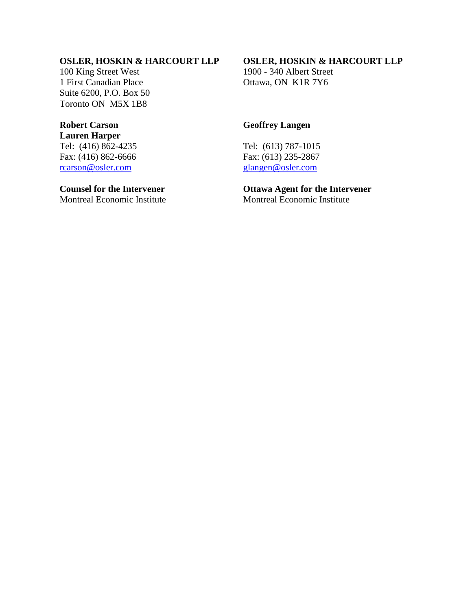# **OSLER, HOSKIN & HARCOURT LLP**

100 King Street West 1 First Canadian Place Suite 6200, P.O. Box 50 Toronto ON M5X 1B8

# **Robert Carson**

**Lauren Harper** Tel: (416) 862-4235 Fax: (416) 862-6666 [rcarson@osler.com](mailto:rcarson@osler.com)

# **Counsel for the Intervener**

Montreal Economic Institute

## **OSLER, HOSKIN & HARCOURT LLP**

1900 - 340 Albert Street Ottawa, ON K1R 7Y6

# **Geoffrey Langen**

Tel: (613) 787-1015 Fax: (613) 235-2867 [glangen@osler.com](mailto:glangen@osler.com)

#### **Ottawa Agent for the Intervener** Montreal Economic Institute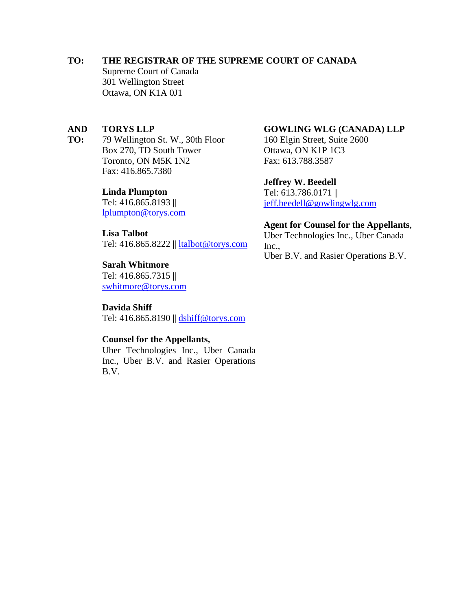## **TO: THE REGISTRAR OF THE SUPREME COURT OF CANADA**

Supreme Court of Canada 301 Wellington Street Ottawa, ON K1A 0J1

#### **AND TORYS LLP**

**TO:** 79 Wellington St. W., 30th Floor Box 270, TD South Tower Toronto, ON M5K 1N2 Fax: 416.865.7380

#### **Linda Plumpton**

Tel: 416.865.8193 || [lplumpton@torys.com](mailto:lplumpton@torys.com)

### **Lisa Talbot**

Tel: 416.865.8222 || [ltalbot@torys.com](mailto:ltalbot@torys.com)

#### **Sarah Whitmore**

Tel: 416.865.7315 || [swhitmore@torys.com](mailto:swhitmore@torys.com)

**Davida Shiff** Tel: 416.865.8190 || [dshiff@torys.com](mailto:dshiff@torys.com)

### **Counsel for the Appellants,**

Uber Technologies Inc., Uber Canada Inc., Uber B.V. and Rasier Operations B.V.

### **GOWLING WLG (CANADA) LLP**

160 Elgin Street, Suite 2600 Ottawa, ON K1P 1C3 Fax: 613.788.3587

### **Jeffrey W. Beedell**

Tel: 613.786.0171 || [jeff.beedell@gowlingwlg.com](mailto:jeff.beedell@gowlingwlg.com)

#### **Agent for Counsel for the Appellants**,

Uber Technologies Inc., Uber Canada Inc., Uber B.V. and Rasier Operations B.V.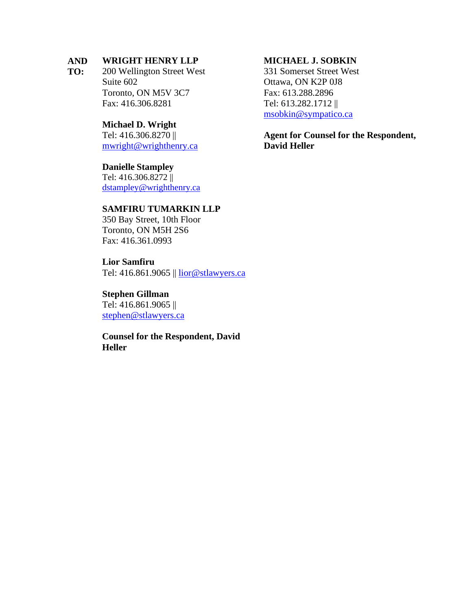#### **AND WRIGHT HENRY LLP**

**TO:** 200 Wellington Street West Suite 602 Toronto, ON M5V 3C7 Fax: 416.306.8281

#### **Michael D. Wright**

Tel: 416.306.8270 || [mwright@wrighthenry.ca](mailto:mwright@wrighthenry.ca)

#### **Danielle Stampley**

Tel: 416.306.8272 || [dstampley@wrighthenry.ca](mailto:dstampley@wrighthenry.ca)

## **SAMFIRU TUMARKIN LLP**

350 Bay Street, 10th Floor Toronto, ON M5H 2S6 Fax: 416.361.0993

#### **Lior Samfiru**

Tel: 416.861.9065 || [lior@stlawyers.ca](mailto:lior@stlawyers.ca)

#### **Stephen Gillman**

Tel: 416.861.9065 || [stephen@stlawyers.ca](mailto:stephen@stlawyers.ca)

**Counsel for the Respondent, David Heller**

### **MICHAEL J. SOBKIN**

331 Somerset Street West Ottawa, ON K2P 0J8 Fax: 613.288.2896 Tel: 613.282.1712 || [msobkin@sympatico.ca](mailto:msobkin@sympatico.ca)

**Agent for Counsel for the Respondent, David Heller**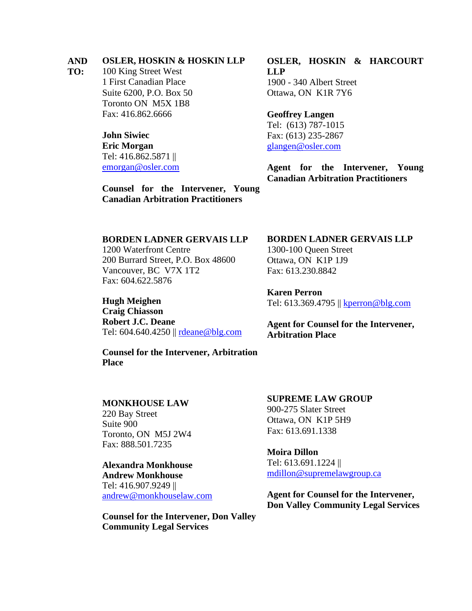#### **AND OSLER, HOSKIN & HOSKIN LLP**

**TO:** 100 King Street West 1 First Canadian Place Suite 6200, P.O. Box 50 Toronto ON M5X 1B8 Fax: 416.862.6666

> **John Siwiec Eric Morgan** Tel: 416.862.5871 || emorgan@osler.com

**OSLER, HOSKIN & HARCOURT LLP** 1900 - 340 Albert Street Ottawa, ON K1R 7Y6

**Geoffrey Langen** Tel: (613) 787-1015 Fax: (613) 235-2867 [glangen@osler.com](mailto:glangen@osler.com)

**Agent for the Intervener, Young Canadian Arbitration Practitioners** 

**Counsel for the Intervener, Young Canadian Arbitration Practitioners**

#### **BORDEN LADNER GERVAIS LLP**

1200 Waterfront Centre 200 Burrard Street, P.O. Box 48600 Vancouver, BC V7X 1T2 Fax: 604.622.5876

**Hugh Meighen Craig Chiasson Robert J.C. Deane** Tel: 604.640.4250 || [rdeane@blg.com](mailto:rdeane@blg.com)

**Counsel for the Intervener, Arbitration Place**

#### **MONKHOUSE LAW**

220 Bay Street Suite 900 Toronto, ON M5J 2W4 Fax: 888.501.7235

**Alexandra Monkhouse Andrew Monkhouse** Tel: 416.907.9249 || [andrew@monkhouselaw.com](mailto:andrew@monkhouselaw.com)

**Counsel for the Intervener, Don Valley Community Legal Services**

#### **BORDEN LADNER GERVAIS LLP**

1300-100 Queen Street Ottawa, ON K1P 1J9 Fax: 613.230.8842

**Karen Perron** Tel: 613.369.4795 || [kperron@blg.com](mailto:kperron@blg.com)

**Agent for Counsel for the Intervener, Arbitration Place**

**SUPREME LAW GROUP** 900-275 Slater Street Ottawa, ON K1P 5H9 Fax: 613.691.1338

**Moira Dillon** Tel: 613.691.1224 || [mdillon@supremelawgroup.ca](mailto:mdillon@supremelawgroup.ca)

**Agent for Counsel for the Intervener, Don Valley Community Legal Services**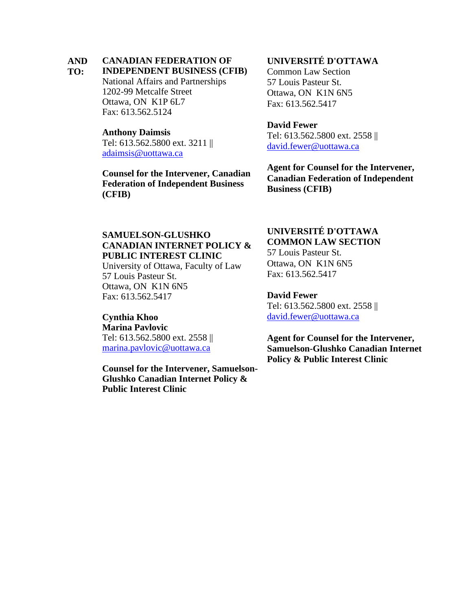#### **AND CANADIAN FEDERATION OF**

#### **TO: INDEPENDENT BUSINESS (CFIB)**

National Affairs and Partnerships 1202-99 Metcalfe Street Ottawa, ON K1P 6L7 Fax: 613.562.5124

#### **Anthony Daimsis**

Tel: 613.562.5800 ext. 3211 || [adaimsis@uottawa.ca](mailto:adaimsis@uottawa.ca)

**Counsel for the Intervener, Canadian Federation of Independent Business (CFIB)**

# **UNIVERSITÉ D'OTTAWA**

Common Law Section 57 Louis Pasteur St. Ottawa, ON K1N 6N5 Fax: 613.562.5417

### **David Fewer**

Tel: 613.562.5800 ext. 2558 || [david.fewer@uottawa.ca](mailto:david.fewer@uottawa.ca)

**Agent for Counsel for the Intervener, Canadian Federation of Independent Business (CFIB)**

# **SAMUELSON-GLUSHKO CANADIAN INTERNET POLICY & PUBLIC INTEREST CLINIC**

University of Ottawa, Faculty of Law 57 Louis Pasteur St. Ottawa, ON K1N 6N5 Fax: 613.562.5417

## **Cynthia Khoo**

**Marina Pavlovic** Tel: 613.562.5800 ext. 2558 || [marina.pavlovic@uottawa.ca](mailto:marina.pavlovic@uottawa.ca)

**Counsel for the Intervener, Samuelson-Glushko Canadian Internet Policy & Public Interest Clinic**

## **UNIVERSITÉ D'OTTAWA COMMON LAW SECTION**

57 Louis Pasteur St. Ottawa, ON K1N 6N5 Fax: 613.562.5417

**David Fewer**

Tel: 613.562.5800 ext. 2558 || [david.fewer@uottawa.ca](mailto:david.fewer@uottawa.ca)

**Agent for Counsel for the Intervener, Samuelson-Glushko Canadian Internet Policy & Public Interest Clinic**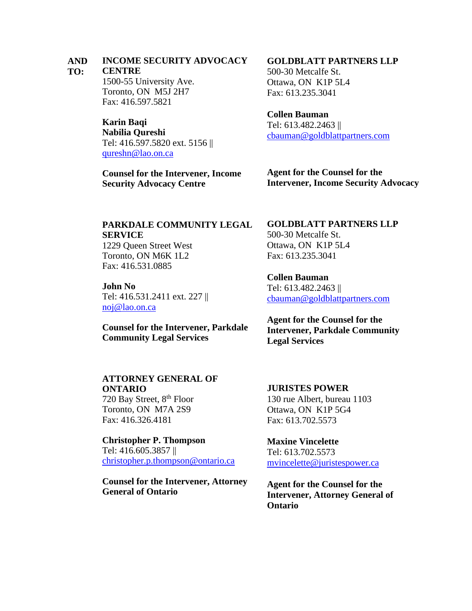#### **AND INCOME SECURITY ADVOCACY**

#### **TO: CENTRE**

1500-55 University Ave. Toronto, ON M5J 2H7 Fax: 416.597.5821

**Karin Baqi Nabilia Qureshi** Tel: 416.597.5820 ext. 5156 || [qureshn@lao.on.ca](mailto:qureshn@lao.on.ca)

**Counsel for the Intervener, Income Security Advocacy Centre**

# **GOLDBLATT PARTNERS LLP**

500-30 Metcalfe St. Ottawa, ON K1P 5L4 Fax: 613.235.3041

#### **Collen Bauman**

Tel: 613.482.2463 || [cbauman@goldblattpartners.com](mailto:cbauman@goldblattpartners.com)

**Agent for the Counsel for the Intervener, Income Security Advocacy**

# **PARKDALE COMMUNITY LEGAL SERVICE**

1229 Queen Street West Toronto, ON M6K 1L2 Fax: 416.531.0885

**John No** Tel: 416.531.2411 ext. 227 || [noj@lao.on.ca](mailto:noj@lao.on.ca)

**Counsel for the Intervener, Parkdale Community Legal Services**

# **ATTORNEY GENERAL OF ONTARIO**

720 Bay Street, 8<sup>th</sup> Floor Toronto, ON M7A 2S9 Fax: 416.326.4181

**Christopher P. Thompson** Tel: 416.605.3857 || [christopher.p.thompson@ontario.ca](mailto:christopher.p.thompson@ontario.ca)

**Counsel for the Intervener, Attorney General of Ontario**

# **GOLDBLATT PARTNERS LLP**

500-30 Metcalfe St. Ottawa, ON K1P 5L4 Fax: 613.235.3041

**Collen Bauman** Tel: 613.482.2463 || [cbauman@goldblattpartners.com](mailto:cbauman@goldblattpartners.com)

**Agent for the Counsel for the Intervener, Parkdale Community Legal Services**

## **JURISTES POWER**

130 rue Albert, bureau 1103 Ottawa, ON K1P 5G4 Fax: 613.702.5573

**Maxine Vincelette** Tel: 613.702.5573 [mvincelette@juristespower.ca](mailto:mvincelette@juristespower.ca)

**Agent for the Counsel for the Intervener, Attorney General of Ontario**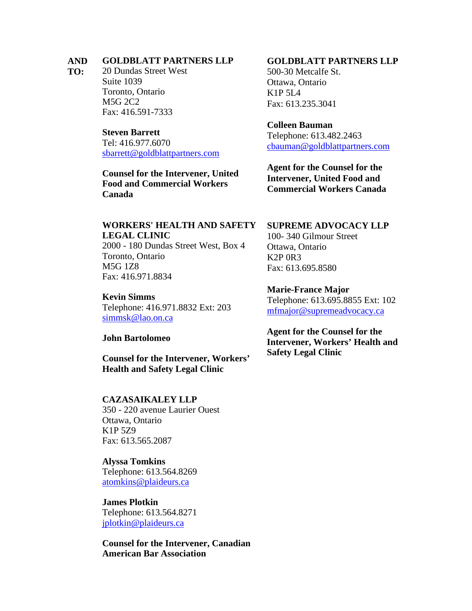#### **AND GOLDBLATT PARTNERS LLP**

**TO:** 20 Dundas Street West Suite 1039 Toronto, Ontario M5G 2C2 Fax: 416.591-7333

#### **Steven Barrett**

Tel: 416.977.6070 [sbarrett@goldblattpartners.com](mailto:sbarrett@goldblattpartners.com)

**Counsel for the Intervener, United Food and Commercial Workers Canada**

#### **GOLDBLATT PARTNERS LLP**

500-30 Metcalfe St. Ottawa, Ontario K1P 5L4 Fax: 613.235.3041

#### **Colleen Bauman**

Telephone: 613.482.2463 [cbauman@goldblattpartners.com](mailto:cbauman@goldblattpartners.com)

**Agent for the Counsel for the Intervener, United Food and Commercial Workers Canada**

# **WORKERS' HEALTH AND SAFETY**

**LEGAL CLINIC**

2000 - 180 Dundas Street West, Box 4 Toronto, Ontario M5G 1Z8 Fax: 416.971.8834

#### **Kevin Simms**

Telephone: 416.971.8832 Ext: 203 [simmsk@lao.on.ca](mailto:simmsk@lao.on.ca)

#### **John Bartolomeo**

**Counsel for the Intervener, Workers' Health and Safety Legal Clinic**

#### **CAZASAIKALEY LLP**

350 - 220 avenue Laurier Ouest Ottawa, Ontario K1P 5Z9 Fax: 613.565.2087

## **Alyssa Tomkins**

Telephone: 613.564.8269 [atomkins@plaideurs.ca](mailto:atomkins@plaideurs.ca)

## **James Plotkin** Telephone: 613.564.8271 [jplotkin@plaideurs.ca](mailto:jplotkin@plaideurs.ca)

**Counsel for the Intervener, Canadian American Bar Association**

### **SUPREME ADVOCACY LLP**

100- 340 Gilmour Street Ottawa, Ontario K2P 0R3 Fax: 613.695.8580

### **Marie-France Major**

Telephone: 613.695.8855 Ext: 102 [mfmajor@supremeadvocacy.ca](mailto:mfmajor@supremeadvocacy.ca)

**Agent for the Counsel for the Intervener, Workers' Health and Safety Legal Clinic**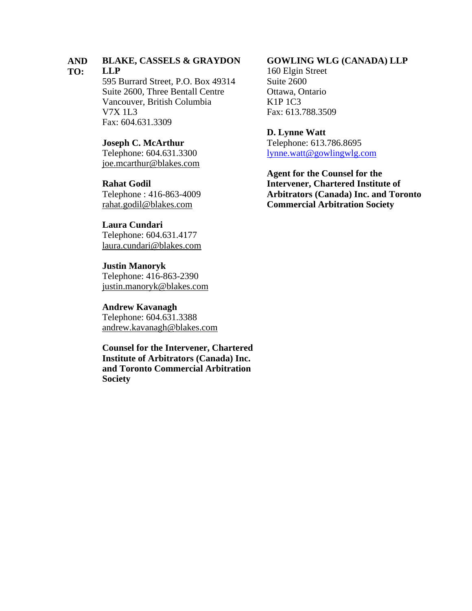#### **AND BLAKE, CASSELS & GRAYDON**

#### **TO: LLP**

595 Burrard Street, P.O. Box 49314 Suite 2600, Three Bentall Centre Vancouver, British Columbia V7X 1L3 Fax: 604.631.3309

### **Joseph C. McArthur**

Telephone: 604.631.3300 [joe.mcarthur@blakes.com](mailto:joe.mcarthur@blakes.com)

## **Rahat Godil**

Telephone : 416-863-4009 [rahat.godil@blakes.com](mailto:rahat.godil@blakes.com)

# **Laura Cundari**

Telephone: 604.631.4177 [laura.cundari@blakes.com](mailto:laura.cundari@blakes.com)

#### **Justin Manoryk**

Telephone: 416-863-2390 [justin.manoryk@blakes.com](mailto:justin.manoryk@blakes.com)

#### **Andrew Kavanagh**

Telephone: 604.631.3388 [andrew.kavanagh@blakes.com](mailto:andrew.kavanagh@blakes.com)

**Counsel for the Intervener, Chartered Institute of Arbitrators (Canada) Inc. and Toronto Commercial Arbitration Society**

#### **GOWLING WLG (CANADA) LLP**

160 Elgin Street Suite 2600 Ottawa, Ontario K1P 1C3 Fax: 613.788.3509

#### **D. Lynne Watt**

Telephone: 613.786.8695 [lynne.watt@gowlingwlg.com](mailto:lynne.watt@gowlingwlg.com)

**Agent for the Counsel for the Intervener, Chartered Institute of Arbitrators (Canada) Inc. and Toronto Commercial Arbitration Society**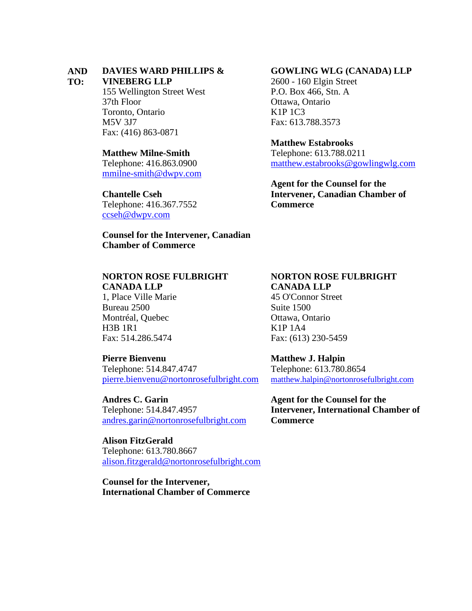#### **AND DAVIES WARD PHILLIPS &**

#### **TO: VINEBERG LLP**

155 Wellington Street West 37th Floor Toronto, Ontario M5V 3J7 Fax: (416) 863-0871

#### **Matthew Milne-Smith**

Telephone: 416.863.0900 [mmilne-smith@dwpv.com](mailto:mmilne-smith@dwpv.com)

#### **Chantelle Cseh**

Telephone: 416.367.7552 [ccseh@dwpv.com](mailto:ccseh@dwpv.com)

#### **Counsel for the Intervener, Canadian Chamber of Commerce**

### **NORTON ROSE FULBRIGHT CANADA LLP**

1, Place Ville Marie Bureau 2500 Montréal, Quebec H3B 1R1 Fax: 514.286.5474

#### **Pierre Bienvenu**

Telephone: 514.847.4747 [pierre.bienvenu@nortonrosefulbright.com](mailto:pierre.bienvenu@nortonrosefulbright.com)

**Andres C. Garin** Telephone: 514.847.4957 [andres.garin@nortonrosefulbright.com](mailto:andres.garin@nortonrosefulbright.com)

**Alison FitzGerald** Telephone: 613.780.8667 [alison.fitzgerald@nortonrosefulbright.com](mailto:alison.fitzgerald@nortonrosefulbright.com)

**Counsel for the Intervener, International Chamber of Commerce**

#### **GOWLING WLG (CANADA) LLP**

2600 - 160 Elgin Street P.O. Box 466, Stn. A Ottawa, Ontario K1P 1C3 Fax: 613.788.3573

#### **Matthew Estabrooks**

Telephone: 613.788.0211 [matthew.estabrooks@gowlingwlg.com](mailto:matthew.estabrooks@gowlingwlg.com)

**Agent for the Counsel for the Intervener, Canadian Chamber of Commerce**

#### **NORTON ROSE FULBRIGHT CANADA LLP**

45 O'Connor Street Suite 1500 Ottawa, Ontario K1P 1A4 Fax: (613) 230-5459

**Matthew J. Halpin** Telephone: 613.780.8654 [matthew.halpin@nortonrosefulbright.com](mailto:matthew.halpin@nortonrosefulbright.com)

**Agent for the Counsel for the Intervener, International Chamber of Commerce**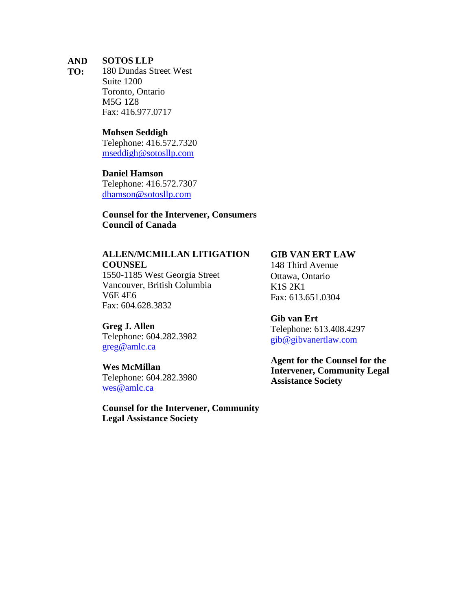#### **AND SOTOS LLP**

**TO:** 180 Dundas Street West Suite 1200 Toronto, Ontario M5G 1Z8 Fax: 416.977.0717

#### **Mohsen Seddigh**

Telephone: 416.572.7320 [mseddigh@sotosllp.com](mailto:mseddigh@sotosllp.com)

### **Daniel Hamson**

Telephone: 416.572.7307 [dhamson@sotosllp.com](mailto:dhamson@sotosllp.com)

## **Counsel for the Intervener, Consumers Council of Canada**

# **ALLEN/MCMILLAN LITIGATION**

**COUNSEL** 1550-1185 West Georgia Street Vancouver, British Columbia V6E 4E6 Fax: 604.628.3832

**Greg J. Allen** Telephone: 604.282.3982 [greg@amlc.ca](mailto:greg@amlc.ca) 

**Wes McMillan** Telephone: 604.282.3980 [wes@amlc.ca](mailto:wes@amlc.ca)

**Counsel for the Intervener, Community Legal Assistance Society**

## **GIB VAN ERT LAW**

148 Third Avenue Ottawa, Ontario K1S 2K1 Fax: 613.651.0304

**Gib van Ert** Telephone: 613.408.4297 [gib@gibvanertlaw.com](mailto:gib@gibvanertlaw.com)

**Agent for the Counsel for the Intervener, Community Legal Assistance Society**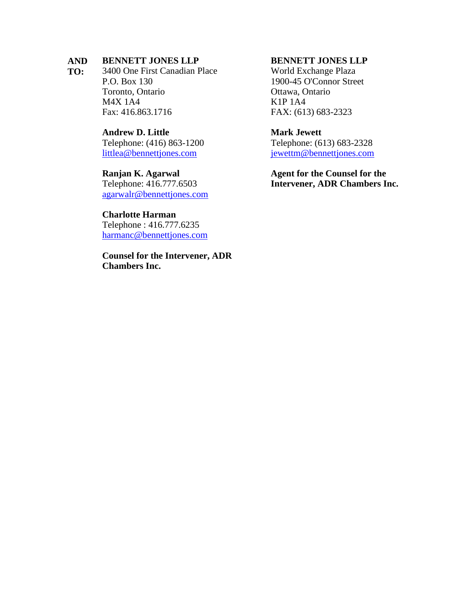#### **AND BENNETT JONES LLP**

**TO:** 3400 One First Canadian Place P.O. Box 130 Toronto, Ontario M4X 1A4 Fax: 416.863.1716

#### **Andrew D. Little**

Telephone: (416) 863-1200 [littlea@bennettjones.com](mailto:littlea@bennettjones.com)

#### **Ranjan K. Agarwal**

Telephone: 416.777.6503 [agarwalr@bennettjones.com](mailto:agarwalr@bennettjones.com)

#### **Charlotte Harman**

Telephone : 416.777.6235 [harmanc@bennettjones.com](mailto:harmanc@bennettjones.com)

**Counsel for the Intervener, ADR Chambers Inc.**

#### **BENNETT JONES LLP**

World Exchange Plaza 1900-45 O'Connor Street Ottawa, Ontario K1P 1A4 FAX: (613) 683-2323

## **Mark Jewett**

Telephone: (613) 683-2328 [jewettm@bennettjones.com](mailto:jewettm@bennettjones.com)

**Agent for the Counsel for the Intervener, ADR Chambers Inc.**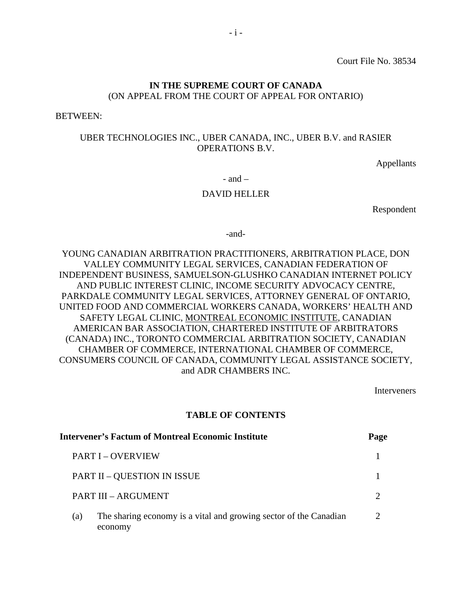Court File No. 38534

# **IN THE SUPREME COURT OF CANADA** (ON APPEAL FROM THE COURT OF APPEAL FOR ONTARIO)

BETWEEN:

### UBER TECHNOLOGIES INC., UBER CANADA, INC., UBER B.V. and RASIER OPERATIONS B.V.

Appellants

 $-$  and  $-$ 

#### DAVID HELLER

Respondent

-and-

YOUNG CANADIAN ARBITRATION PRACTITIONERS, ARBITRATION PLACE, DON VALLEY COMMUNITY LEGAL SERVICES, CANADIAN FEDERATION OF INDEPENDENT BUSINESS, SAMUELSON-GLUSHKO CANADIAN INTERNET POLICY AND PUBLIC INTEREST CLINIC, INCOME SECURITY ADVOCACY CENTRE, PARKDALE COMMUNITY LEGAL SERVICES, ATTORNEY GENERAL OF ONTARIO, UNITED FOOD AND COMMERCIAL WORKERS CANADA, WORKERS' HEALTH AND SAFETY LEGAL CLINIC, MONTREAL ECONOMIC INSTITUTE, CANADIAN AMERICAN BAR ASSOCIATION, CHARTERED INSTITUTE OF ARBITRATORS (CANADA) INC., TORONTO COMMERCIAL ARBITRATION SOCIETY, CANADIAN CHAMBER OF COMMERCE, INTERNATIONAL CHAMBER OF COMMERCE, CONSUMERS COUNCIL OF CANADA, COMMUNITY LEGAL ASSISTANCE SOCIETY, and ADR CHAMBERS INC.

Interveners

#### **TABLE OF CONTENTS**

| Intervener's Factum of Montreal Economic Institute                                  |               |
|-------------------------------------------------------------------------------------|---------------|
| <b>PART I – OVERVIEW</b>                                                            |               |
| <b>PART II – QUESTION IN ISSUE</b>                                                  |               |
| PART III - ARGUMENT                                                                 |               |
| The sharing economy is a vital and growing sector of the Canadian<br>(a)<br>economy | $\mathcal{D}$ |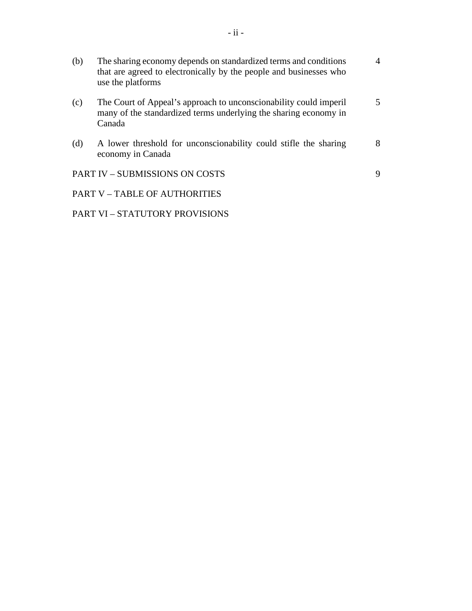| (b) | The sharing economy depends on standardized terms and conditions<br>that are agreed to electronically by the people and businesses who<br>use the platforms | 4  |
|-----|-------------------------------------------------------------------------------------------------------------------------------------------------------------|----|
| (c) | The Court of Appeal's approach to unconscionability could imperil<br>many of the standardized terms underlying the sharing economy in<br>Canada             | 5. |
| (d) | A lower threshold for unconscionability could stifle the sharing<br>economy in Canada                                                                       | 8  |
|     | <b>PART IV - SUBMISSIONS ON COSTS</b>                                                                                                                       | 9  |
|     | <b>PART V – TABLE OF AUTHORITIES</b>                                                                                                                        |    |

PART VI – STATUTORY PROVISIONS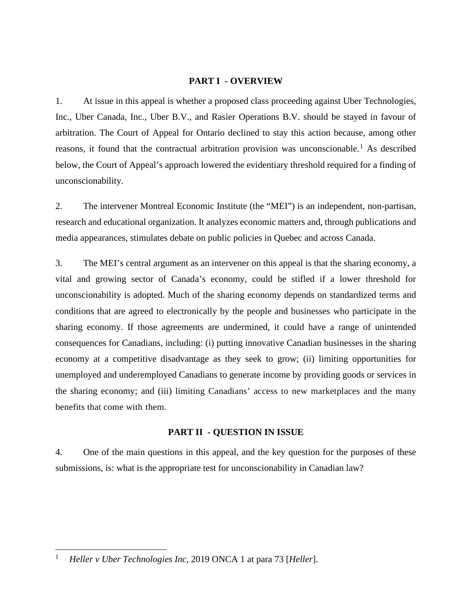### **PART I - OVERVIEW**

1. At issue in this appeal is whether a proposed class proceeding against Uber Technologies, Inc., Uber Canada, Inc., Uber B.V., and Rasier Operations B.V. should be stayed in favour of arbitration. The Court of Appeal for Ontario declined to stay this action because, among other reasons, it found that the contractual arbitration provision was unconscionable.<sup>[1](#page-14-0)</sup> As described below, the Court of Appeal's approach lowered the evidentiary threshold required for a finding of unconscionability.

2. The intervener Montreal Economic Institute (the "MEI") is an independent, non-partisan, research and educational organization. It analyzes economic matters and, through publications and media appearances, stimulates debate on public policies in Quebec and across Canada.

3. The MEI's central argument as an intervener on this appeal is that the sharing economy, a vital and growing sector of Canada's economy, could be stifled if a lower threshold for unconscionability is adopted. Much of the sharing economy depends on standardized terms and conditions that are agreed to electronically by the people and businesses who participate in the sharing economy. If those agreements are undermined, it could have a range of unintended consequences for Canadians, including: (i) putting innovative Canadian businesses in the sharing economy at a competitive disadvantage as they seek to grow; (ii) limiting opportunities for unemployed and underemployed Canadians to generate income by providing goods or services in the sharing economy; and (iii) limiting Canadians' access to new marketplaces and the many benefits that come with them.

#### **PART II - QUESTION IN ISSUE**

4. One of the main questions in this appeal, and the key question for the purposes of these submissions, is: what is the appropriate test for unconscionability in Canadian law?

<span id="page-14-0"></span><sup>1</sup> *Heller v Uber Technologies Inc*, 2019 ONCA 1 at para 73 [*Heller*].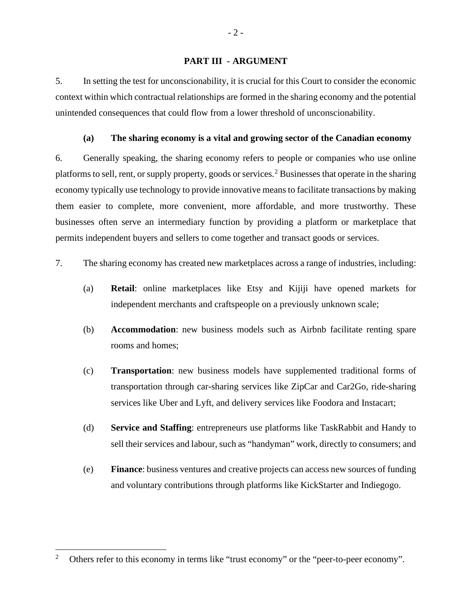#### **PART III - ARGUMENT**

5. In setting the test for unconscionability, it is crucial for this Court to consider the economic context within which contractual relationships are formed in the sharing economy and the potential unintended consequences that could flow from a lower threshold of unconscionability.

## **(a) The sharing economy is a vital and growing sector of the Canadian economy**

6. Generally speaking, the sharing economy refers to people or companies who use online platforms to sell, rent, or supply property, goods or services.<sup>[2](#page-15-0)</sup> Businesses that operate in the sharing economy typically use technology to provide innovative means to facilitate transactions by making them easier to complete, more convenient, more affordable, and more trustworthy. These businesses often serve an intermediary function by providing a platform or marketplace that permits independent buyers and sellers to come together and transact goods or services.

- 7. The sharing economy has created new marketplaces across a range of industries, including:
	- (a) **Retail**: online marketplaces like Etsy and Kijiji have opened markets for independent merchants and craftspeople on a previously unknown scale;
	- (b) **Accommodation**: new business models such as Airbnb facilitate renting spare rooms and homes;
	- (c) **Transportation**: new business models have supplemented traditional forms of transportation through car-sharing services like ZipCar and Car2Go, ride-sharing services like Uber and Lyft, and delivery services like Foodora and Instacart;
	- (d) **Service and Staffing**: entrepreneurs use platforms like TaskRabbit and Handy to sell their services and labour, such as "handyman" work, directly to consumers; and
	- (e) **Finance**: business ventures and creative projects can access new sources of funding and voluntary contributions through platforms like KickStarter and Indiegogo.

- 2 -

<span id="page-15-0"></span><sup>&</sup>lt;sup>2</sup> Others refer to this economy in terms like "trust economy" or the "peer-to-peer economy".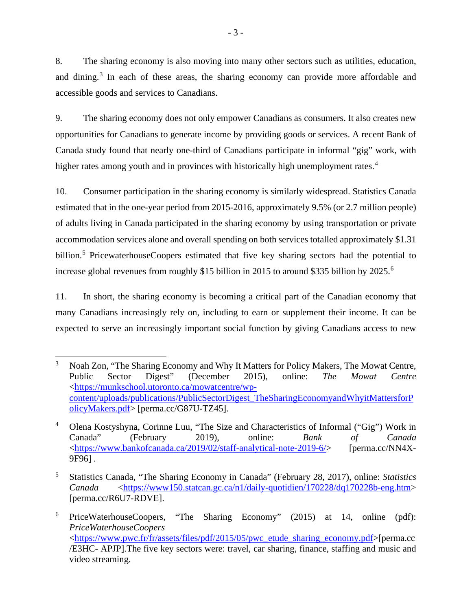8. The sharing economy is also moving into many other sectors such as utilities, education, and dining. [3](#page-16-0) In each of these areas, the sharing economy can provide more affordable and accessible goods and services to Canadians.

9. The sharing economy does not only empower Canadians as consumers. It also creates new opportunities for Canadians to generate income by providing goods or services. A recent Bank of Canada study found that nearly one-third of Canadians participate in informal "gig" work, with higher rates among youth and in provinces with historically high unemployment rates.<sup>[4](#page-16-1)</sup>

10. Consumer participation in the sharing economy is similarly widespread. Statistics Canada estimated that in the one-year period from 2015-2016, approximately 9.5% (or 2.7 million people) of adults living in Canada participated in the sharing economy by using transportation or private accommodation services alone and overall spending on both services totalled approximately \$1.31 billion.<sup>[5](#page-16-2)</sup> PricewaterhouseCoopers estimated that five key sharing sectors had the potential to increase global revenues from roughly \$15 billion in 2015 to around \$335 billion by 2025.<sup>[6](#page-16-3)</sup>

11. In short, the sharing economy is becoming a critical part of the Canadian economy that many Canadians increasingly rely on, including to earn or supplement their income. It can be expected to serve an increasingly important social function by giving Canadians access to new

<span id="page-16-0"></span><sup>&</sup>lt;sup>3</sup> Noah Zon, "The Sharing Economy and Why It Matters for Policy Makers, The Mowat Centre, Public Sector Digest" (December 2015), online: *The Mowat Centre*  [<https://munkschool.utoronto.ca/mowatcentre/wp](https://munkschool.utoronto.ca/mowatcentre/wp-content/uploads/publications/PublicSectorDigest_TheSharingEconomyandWhyitMattersforPolicyMakers.pdf)[content/uploads/publications/PublicSectorDigest\\_TheSharingEconomyandWhyitMattersforP](https://munkschool.utoronto.ca/mowatcentre/wp-content/uploads/publications/PublicSectorDigest_TheSharingEconomyandWhyitMattersforPolicyMakers.pdf) [olicyMakers.pdf>](https://munkschool.utoronto.ca/mowatcentre/wp-content/uploads/publications/PublicSectorDigest_TheSharingEconomyandWhyitMattersforPolicyMakers.pdf) [perma.cc/G87U-TZ45].

<span id="page-16-1"></span><sup>4</sup> Olena Kostyshyna, Corinne Luu, "The Size and Characteristics of Informal ("Gig") Work in Canada" (February 2019), online: *Bank of Canada*  [<https://www.bankofcanada.ca/2019/02/staff-analytical-note-2019-6/>](https://www.bankofcanada.ca/2019/02/staff-analytical-note-2019-6/) [perma.cc/NN4X-9F96] .

<span id="page-16-2"></span><sup>5</sup> Statistics Canada, "The Sharing Economy in Canada" (February 28, 2017), online: *Statistics Canada* [<https://www150.statcan.gc.ca/n1/daily-quotidien/170228/dq170228b-eng.htm>](https://www150.statcan.gc.ca/n1/daily-quotidien/170228/dq170228b-eng.htm) [perma.cc/R6U7-RDVE].

<span id="page-16-3"></span><sup>6</sup> PriceWaterhouseCoopers, "The Sharing Economy" (2015) at 14, online (pdf): *PriceWaterhouseCoopers*  [<https://www.pwc.fr/fr/assets/files/pdf/2015/05/pwc\\_etude\\_sharing\\_economy.pdf>](https://www.pwc.fr/fr/assets/files/pdf/2015/05/pwc_etude_sharing_economy.pdf)[perma.cc /E3HC- APJP].The five key sectors were: travel, car sharing, finance, staffing and music and video streaming.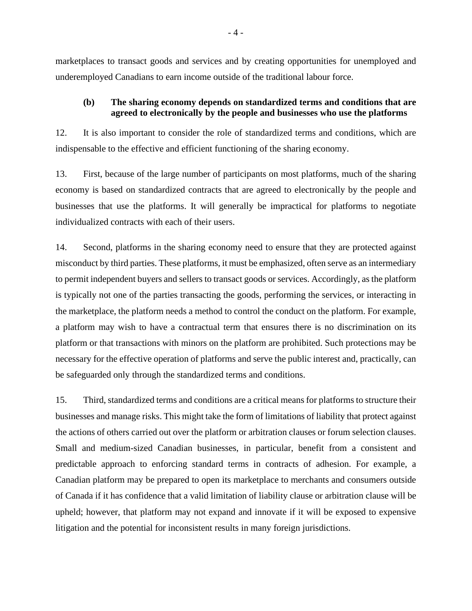marketplaces to transact goods and services and by creating opportunities for unemployed and underemployed Canadians to earn income outside of the traditional labour force.

#### **(b) The sharing economy depends on standardized terms and conditions that are agreed to electronically by the people and businesses who use the platforms**

12. It is also important to consider the role of standardized terms and conditions, which are indispensable to the effective and efficient functioning of the sharing economy.

13. First, because of the large number of participants on most platforms, much of the sharing economy is based on standardized contracts that are agreed to electronically by the people and businesses that use the platforms. It will generally be impractical for platforms to negotiate individualized contracts with each of their users.

14. Second, platforms in the sharing economy need to ensure that they are protected against misconduct by third parties. These platforms, it must be emphasized, often serve as an intermediary to permit independent buyers and sellers to transact goods or services. Accordingly, as the platform is typically not one of the parties transacting the goods, performing the services, or interacting in the marketplace, the platform needs a method to control the conduct on the platform. For example, a platform may wish to have a contractual term that ensures there is no discrimination on its platform or that transactions with minors on the platform are prohibited. Such protections may be necessary for the effective operation of platforms and serve the public interest and, practically, can be safeguarded only through the standardized terms and conditions.

15. Third, standardized terms and conditions are a critical means for platforms to structure their businesses and manage risks. This might take the form of limitations of liability that protect against the actions of others carried out over the platform or arbitration clauses or forum selection clauses. Small and medium-sized Canadian businesses, in particular, benefit from a consistent and predictable approach to enforcing standard terms in contracts of adhesion. For example, a Canadian platform may be prepared to open its marketplace to merchants and consumers outside of Canada if it has confidence that a valid limitation of liability clause or arbitration clause will be upheld; however, that platform may not expand and innovate if it will be exposed to expensive litigation and the potential for inconsistent results in many foreign jurisdictions.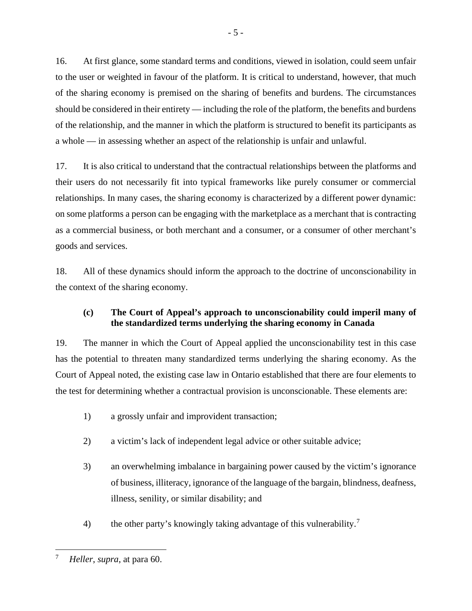16. At first glance, some standard terms and conditions, viewed in isolation, could seem unfair to the user or weighted in favour of the platform. It is critical to understand, however, that much of the sharing economy is premised on the sharing of benefits and burdens. The circumstances should be considered in their entirety — including the role of the platform, the benefits and burdens of the relationship, and the manner in which the platform is structured to benefit its participants as a whole — in assessing whether an aspect of the relationship is unfair and unlawful.

17. It is also critical to understand that the contractual relationships between the platforms and their users do not necessarily fit into typical frameworks like purely consumer or commercial relationships. In many cases, the sharing economy is characterized by a different power dynamic: on some platforms a person can be engaging with the marketplace as a merchant that is contracting as a commercial business, or both merchant and a consumer, or a consumer of other merchant's goods and services.

18. All of these dynamics should inform the approach to the doctrine of unconscionability in the context of the sharing economy.

# **(c) The Court of Appeal's approach to unconscionability could imperil many of the standardized terms underlying the sharing economy in Canada**

19. The manner in which the Court of Appeal applied the unconscionability test in this case has the potential to threaten many standardized terms underlying the sharing economy. As the Court of Appeal noted, the existing case law in Ontario established that there are four elements to the test for determining whether a contractual provision is unconscionable. These elements are:

- 1) a grossly unfair and improvident transaction;
- 2) a victim's lack of independent legal advice or other suitable advice;
- 3) an overwhelming imbalance in bargaining power caused by the victim's ignorance of business, illiteracy, ignorance of the language of the bargain, blindness, deafness, illness, senility, or similar disability; and
- 4) the other party's knowingly taking advantage of this vulnerability.<sup>[7](#page-18-0)</sup>

<span id="page-18-0"></span><sup>7</sup> *Heller*, *supra*, at para 60.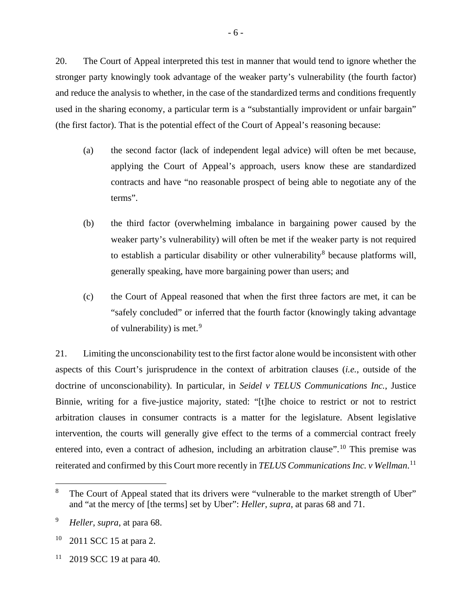20. The Court of Appeal interpreted this test in manner that would tend to ignore whether the stronger party knowingly took advantage of the weaker party's vulnerability (the fourth factor) and reduce the analysis to whether, in the case of the standardized terms and conditions frequently used in the sharing economy, a particular term is a "substantially improvident or unfair bargain" (the first factor). That is the potential effect of the Court of Appeal's reasoning because:

- (a) the second factor (lack of independent legal advice) will often be met because, applying the Court of Appeal's approach, users know these are standardized contracts and have "no reasonable prospect of being able to negotiate any of the terms".
- (b) the third factor (overwhelming imbalance in bargaining power caused by the weaker party's vulnerability) will often be met if the weaker party is not required to establish a particular disability or other vulnerability<sup>[8](#page-19-0)</sup> because platforms will, generally speaking, have more bargaining power than users; and
- (c) the Court of Appeal reasoned that when the first three factors are met, it can be "safely concluded" or inferred that the fourth factor (knowingly taking advantage of vulnerability) is met.<sup>[9](#page-19-1)</sup>

21. Limiting the unconscionability test to the first factor alone would be inconsistent with other aspects of this Court's jurisprudence in the context of arbitration clauses (*i.e.*, outside of the doctrine of unconscionability). In particular, in *Seidel v TELUS Communications Inc.*, Justice Binnie, writing for a five-justice majority, stated: "[t]he choice to restrict or not to restrict arbitration clauses in consumer contracts is a matter for the legislature. Absent legislative intervention, the courts will generally give effect to the terms of a commercial contract freely entered into, even a contract of adhesion, including an arbitration clause".<sup>[10](#page-19-2)</sup> This premise was reiterated and confirmed by this Court more recently in *TELUS Communications Inc. v Wellman*. [11](#page-19-3)

<span id="page-19-0"></span><sup>&</sup>lt;sup>8</sup> The Court of Appeal stated that its drivers were "vulnerable to the market strength of Uber" and "at the mercy of [the terms] set by Uber": *Heller*, *supra*, at paras 68 and 71.

<span id="page-19-1"></span><sup>9</sup> *Heller*, *supra*, at para 68.

<span id="page-19-2"></span><sup>10</sup> 2011 SCC 15 at para 2.

<span id="page-19-3"></span> $11$  2019 SCC 19 at para 40.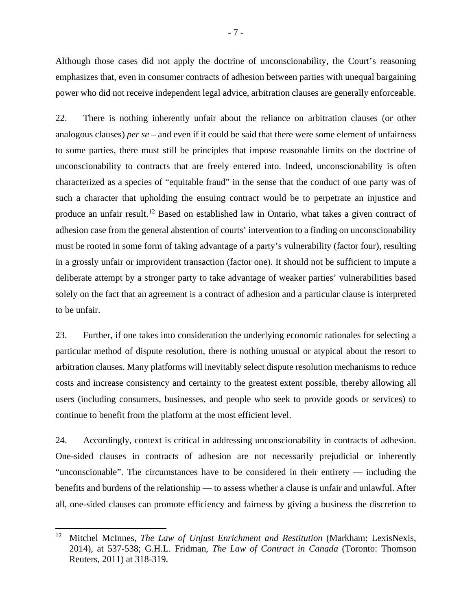Although those cases did not apply the doctrine of unconscionability, the Court's reasoning emphasizes that, even in consumer contracts of adhesion between parties with unequal bargaining power who did not receive independent legal advice, arbitration clauses are generally enforceable.

22. There is nothing inherently unfair about the reliance on arbitration clauses (or other analogous clauses) *per se* – and even if it could be said that there were some element of unfairness to some parties, there must still be principles that impose reasonable limits on the doctrine of unconscionability to contracts that are freely entered into. Indeed, unconscionability is often characterized as a species of "equitable fraud" in the sense that the conduct of one party was of such a character that upholding the ensuing contract would be to perpetrate an injustice and produce an unfair result.<sup>[12](#page-20-0)</sup> Based on established law in Ontario, what takes a given contract of adhesion case from the general abstention of courts' intervention to a finding on unconscionability must be rooted in some form of taking advantage of a party's vulnerability (factor four), resulting in a grossly unfair or improvident transaction (factor one). It should not be sufficient to impute a deliberate attempt by a stronger party to take advantage of weaker parties' vulnerabilities based solely on the fact that an agreement is a contract of adhesion and a particular clause is interpreted to be unfair.

23. Further, if one takes into consideration the underlying economic rationales for selecting a particular method of dispute resolution, there is nothing unusual or atypical about the resort to arbitration clauses. Many platforms will inevitably select dispute resolution mechanisms to reduce costs and increase consistency and certainty to the greatest extent possible, thereby allowing all users (including consumers, businesses, and people who seek to provide goods or services) to continue to benefit from the platform at the most efficient level.

24. Accordingly, context is critical in addressing unconscionability in contracts of adhesion. One-sided clauses in contracts of adhesion are not necessarily prejudicial or inherently "unconscionable". The circumstances have to be considered in their entirety — including the benefits and burdens of the relationship — to assess whether a clause is unfair and unlawful. After all, one-sided clauses can promote efficiency and fairness by giving a business the discretion to

<span id="page-20-0"></span><sup>12</sup> Mitchel McInnes, *The Law of Unjust Enrichment and Restitution* (Markham: LexisNexis, 2014), at 537-538; G.H.L. Fridman, *The Law of Contract in Canada* (Toronto: Thomson Reuters, 2011) at 318-319.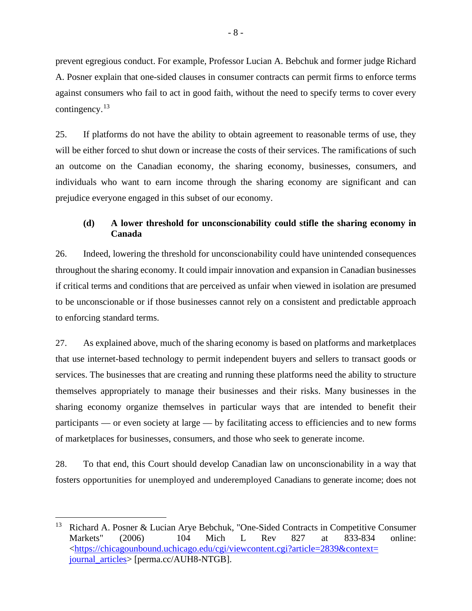prevent egregious conduct. For example, Professor Lucian A. Bebchuk and former judge Richard A. Posner explain that one-sided clauses in consumer contracts can permit firms to enforce terms against consumers who fail to act in good faith, without the need to specify terms to cover every contingency.<sup>[13](#page-21-0)</sup>

25. If platforms do not have the ability to obtain agreement to reasonable terms of use, they will be either forced to shut down or increase the costs of their services. The ramifications of such an outcome on the Canadian economy, the sharing economy, businesses, consumers, and individuals who want to earn income through the sharing economy are significant and can prejudice everyone engaged in this subset of our economy.

# **(d) A lower threshold for unconscionability could stifle the sharing economy in Canada**

26. Indeed, lowering the threshold for unconscionability could have unintended consequences throughout the sharing economy. It could impair innovation and expansion in Canadian businesses if critical terms and conditions that are perceived as unfair when viewed in isolation are presumed to be unconscionable or if those businesses cannot rely on a consistent and predictable approach to enforcing standard terms.

27. As explained above, much of the sharing economy is based on platforms and marketplaces that use internet-based technology to permit independent buyers and sellers to transact goods or services. The businesses that are creating and running these platforms need the ability to structure themselves appropriately to manage their businesses and their risks. Many businesses in the sharing economy organize themselves in particular ways that are intended to benefit their participants — or even society at large — by facilitating access to efficiencies and to new forms of marketplaces for businesses, consumers, and those who seek to generate income.

28. To that end, this Court should develop Canadian law on unconscionability in a way that fosters opportunities for unemployed and underemployed Canadians to generate income; does not

<span id="page-21-0"></span><sup>&</sup>lt;sup>13</sup> Richard A. Posner & Lucian Arye Bebchuk, "One-Sided Contracts in Competitive Consumer Markets" (2006) 104 Mich L Rev 827 at 833-834 online: [<https://chicagounbound.uchicago.edu/cgi/viewcontent.cgi?article=2839&context=](https://chicagounbound.uchicago.edu/cgi/viewcontent.cgi?article=2839&context=journal_articles) [journal\\_articles>](https://chicagounbound.uchicago.edu/cgi/viewcontent.cgi?article=2839&context=journal_articles) [perma.cc/AUH8-NTGB].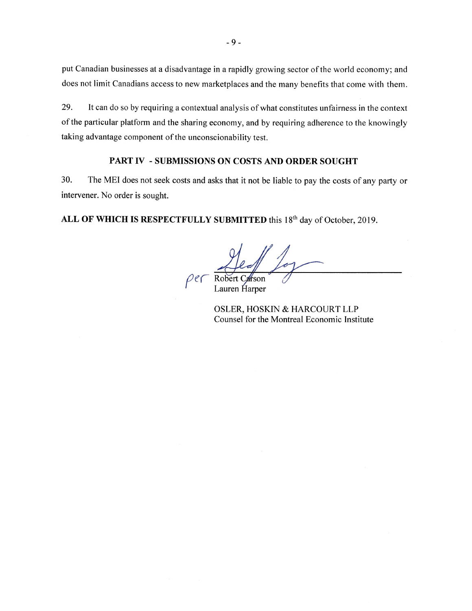put Canadian businesses at a disadvantage in a rapidly growing sector of the world economy; and does not limit Canadians access to new marketplaces and the many benefits that come with them.

29. It can do so by requiring a contextual analysis of what constitutes unfairness in the context of the particular platform and the sharing economy, and by requiring adherence to the knowingly taking advantage component of the unconscionability test.

# **PART IV** - **SUBMISSIONS ON COSTS AND ORDER SOUGHT**

30. The MEI does not seek costs and asks that it not be liable to pay the costs of any party or intervener. No order is sought.

**ALL OF WHICH IS RESPECTFULLY SUBMITTED** this 18th day of October, 2019.

Lauren Harper

OSLER, HOSKIN & HARCOURT LLP Counsel for the Montreal Economic Institute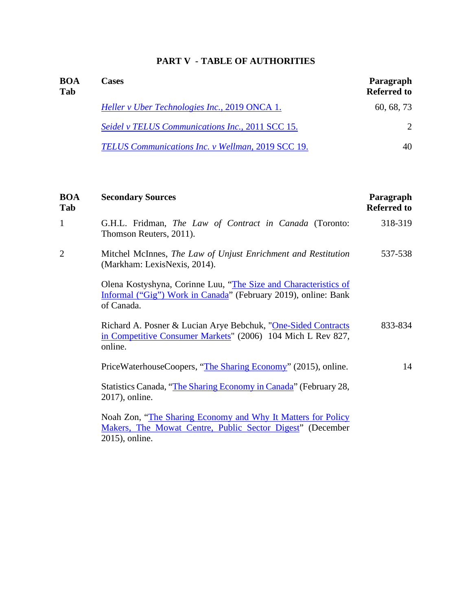# **PART V - TABLE OF AUTHORITIES**

| <b>BOA</b><br>Tab | <b>Cases</b>                                      | Paragraph<br><b>Referred to</b> |
|-------------------|---------------------------------------------------|---------------------------------|
|                   | Heller v Uber Technologies Inc., 2019 ONCA 1.     | 60, 68, 73                      |
|                   | Seidel v TELUS Communications Inc., 2011 SCC 15.  | $\mathcal{D}_{\cdot}$           |
|                   | TELUS Communications Inc. v Wellman, 2019 SCC 19. | 40                              |

| <b>BOA</b><br>Tab | <b>Secondary Sources</b>                                                                                                                        | Paragraph<br><b>Referred to</b> |
|-------------------|-------------------------------------------------------------------------------------------------------------------------------------------------|---------------------------------|
| $\mathbf{1}$      | G.H.L. Fridman, The Law of Contract in Canada (Toronto:<br>Thomson Reuters, 2011).                                                              | 318-319                         |
| $\overline{2}$    | Mitchel McInnes, The Law of Unjust Enrichment and Restitution<br>(Markham: LexisNexis, 2014).                                                   | 537-538                         |
|                   | Olena Kostyshyna, Corinne Luu, "The Size and Characteristics of<br>Informal ("Gig") Work in Canada" (February 2019), online: Bank<br>of Canada. |                                 |
|                   | Richard A. Posner & Lucian Arye Bebchuk, "One-Sided Contracts"<br>in Competitive Consumer Markets" (2006) 104 Mich L Rev 827,<br>online.        | 833-834                         |
|                   | PriceWaterhouseCoopers, "The Sharing Economy" (2015), online.                                                                                   | 14                              |
|                   | Statistics Canada, "The Sharing Economy in Canada" (February 28,<br>2017), online.                                                              |                                 |
|                   | Noah Zon, "The Sharing Economy and Why It Matters for Policy<br>Makers, The Mowat Centre, Public Sector Digest" (December<br>2015), online.     |                                 |